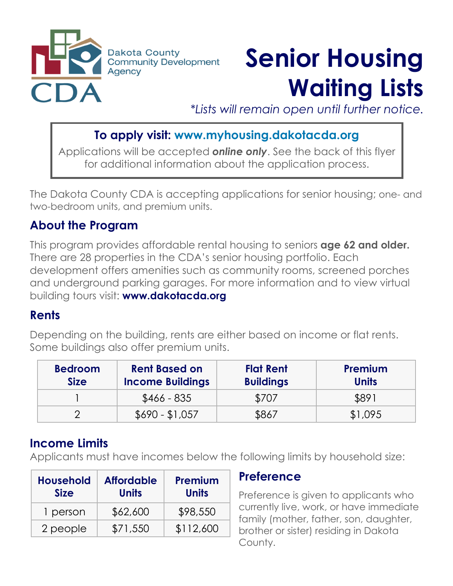

# **Senior Housing Waiting Lists**

*\*Lists will remain open until further notice.*

# **To apply visit: www.myhousing.dakotacda.org**

Applications will be accepted *online only*. See the back of this flyer for additional information about the application process.

The Dakota County CDA is accepting applications for senior housing; one- and two-bedroom units, and premium units.

# **About the Program**

This program provides affordable rental housing to seniors **age 62 and older.**  There are 28 properties in the CDA's senior housing portfolio. Each development offers amenities such as community rooms, screened porches and underground parking garages. For more information and to view virtual building tours visit: **www.dakotacda.org** 

# **Rents**

Depending on the building, rents are either based on income or flat rents. Some buildings also offer premium units.

| <b>Bedroom</b><br><b>Size</b> | <b>Rent Based on</b><br><b>Income Buildings</b> | <b>Flat Rent</b><br><b>Buildings</b> | <b>Premium</b><br><b>Units</b> |
|-------------------------------|-------------------------------------------------|--------------------------------------|--------------------------------|
|                               | $$466 - 835$                                    | \$707                                | \$891                          |
|                               | $$690 - $1,057$                                 | \$867                                | \$1,095                        |

# **Income Limits**

Applicants must have incomes below the following limits by household size:

| <b>Household</b><br><b>Size</b> | <b>Affordable</b><br><b>Units</b> | Premium<br><b>Units</b> |
|---------------------------------|-----------------------------------|-------------------------|
| 1 person                        | \$62,600                          | \$98,550                |
| 2 people                        | \$71,550                          | \$112,600               |

#### **Preference**

Preference is given to applicants who currently live, work, or have immediate family (mother, father, son, daughter, brother or sister) residing in Dakota County.